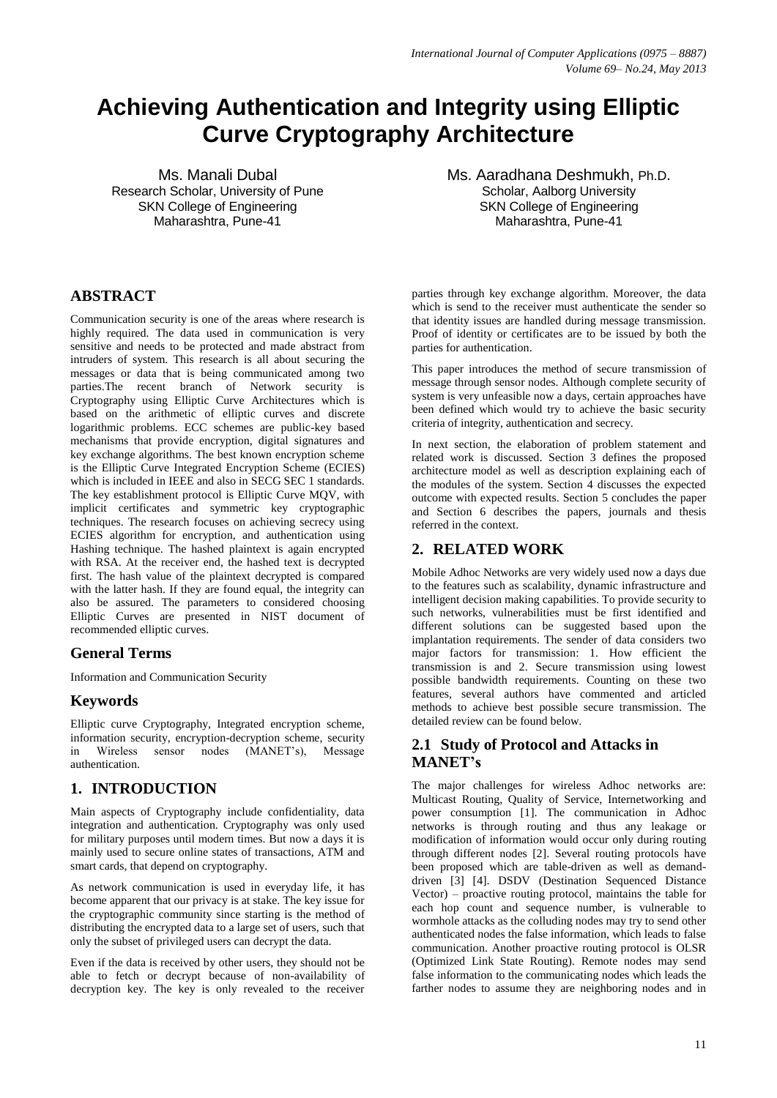# **Achieving Authentication and Integrity using Elliptic Curve Cryptography Architecture**

Ms. Manali Dubal Research Scholar, University of Pune SKN College of Engineering Maharashtra, Pune-41

# **ABSTRACT**

Communication security is one of the areas where research is highly required. The data used in communication is very sensitive and needs to be protected and made abstract from intruders of system. This research is all about securing the messages or data that is being communicated among two parties.The recent branch of Network security is Cryptography using Elliptic Curve Architectures which is based on the arithmetic of elliptic curves and discrete logarithmic problems. ECC schemes are public-key based mechanisms that provide encryption, digital signatures and key exchange algorithms. The best known encryption scheme is the Elliptic Curve Integrated Encryption Scheme (ECIES) which is included in IEEE and also in SECG SEC 1 standards. The key establishment protocol is Elliptic Curve MQV, with implicit certificates and symmetric key cryptographic techniques. The research focuses on achieving secrecy using ECIES algorithm for encryption, and authentication using Hashing technique. The hashed plaintext is again encrypted with RSA. At the receiver end, the hashed text is decrypted first. The hash value of the plaintext decrypted is compared with the latter hash. If they are found equal, the integrity can also be assured. The parameters to considered choosing Elliptic Curves are presented in NIST document of recommended elliptic curves.

# **General Terms**

Information and Communication Security

# **Keywords**

Elliptic curve Cryptography, Integrated encryption scheme, information security, encryption-decryption scheme, security in Wireless sensor nodes (MANET"s), Message authentication.

## **1. INTRODUCTION**

Main aspects of Cryptography include confidentiality, data integration and authentication. Cryptography was only used for military purposes until modern times. But now a days it is mainly used to secure online states of transactions, ATM and smart cards, that depend on cryptography.

As network communication is used in everyday life, it has become apparent that our privacy is at stake. The key issue for the cryptographic community since starting is the method of distributing the encrypted data to a large set of users, such that only the subset of privileged users can decrypt the data.

Even if the data is received by other users, they should not be able to fetch or decrypt because of non-availability of decryption key. The key is only revealed to the receiver

Ms. Aaradhana Deshmukh, Ph.D. Scholar, Aalborg University SKN College of Engineering Maharashtra, Pune-41

parties through key exchange algorithm. Moreover, the data which is send to the receiver must authenticate the sender so that identity issues are handled during message transmission. Proof of identity or certificates are to be issued by both the parties for authentication.

This paper introduces the method of secure transmission of message through sensor nodes. Although complete security of system is very unfeasible now a days, certain approaches have been defined which would try to achieve the basic security criteria of integrity, authentication and secrecy.

In next section, the elaboration of problem statement and related work is discussed. Section 3 defines the proposed architecture model as well as description explaining each of the modules of the system. Section 4 discusses the expected outcome with expected results. Section 5 concludes the paper and Section 6 describes the papers, journals and thesis referred in the context.

# **2. RELATED WORK**

Mobile Adhoc Networks are very widely used now a days due to the features such as scalability, dynamic infrastructure and intelligent decision making capabilities. To provide security to such networks, vulnerabilities must be first identified and different solutions can be suggested based upon the implantation requirements. The sender of data considers two major factors for transmission: 1. How efficient the transmission is and 2. Secure transmission using lowest possible bandwidth requirements. Counting on these two features, several authors have commented and articled methods to achieve best possible secure transmission. The detailed review can be found below.

# **2.1 Study of Protocol and Attacks in MANET's**

The major challenges for wireless Adhoc networks are: Multicast Routing, Quality of Service, Internetworking and power consumption [1]. The communication in Adhoc networks is through routing and thus any leakage or modification of information would occur only during routing through different nodes [2]. Several routing protocols have been proposed which are table-driven as well as demanddriven [3] [4]. DSDV (Destination Sequenced Distance Vector) – proactive routing protocol, maintains the table for each hop count and sequence number, is vulnerable to wormhole attacks as the colluding nodes may try to send other authenticated nodes the false information, which leads to false communication. Another proactive routing protocol is OLSR (Optimized Link State Routing). Remote nodes may send false information to the communicating nodes which leads the farther nodes to assume they are neighboring nodes and in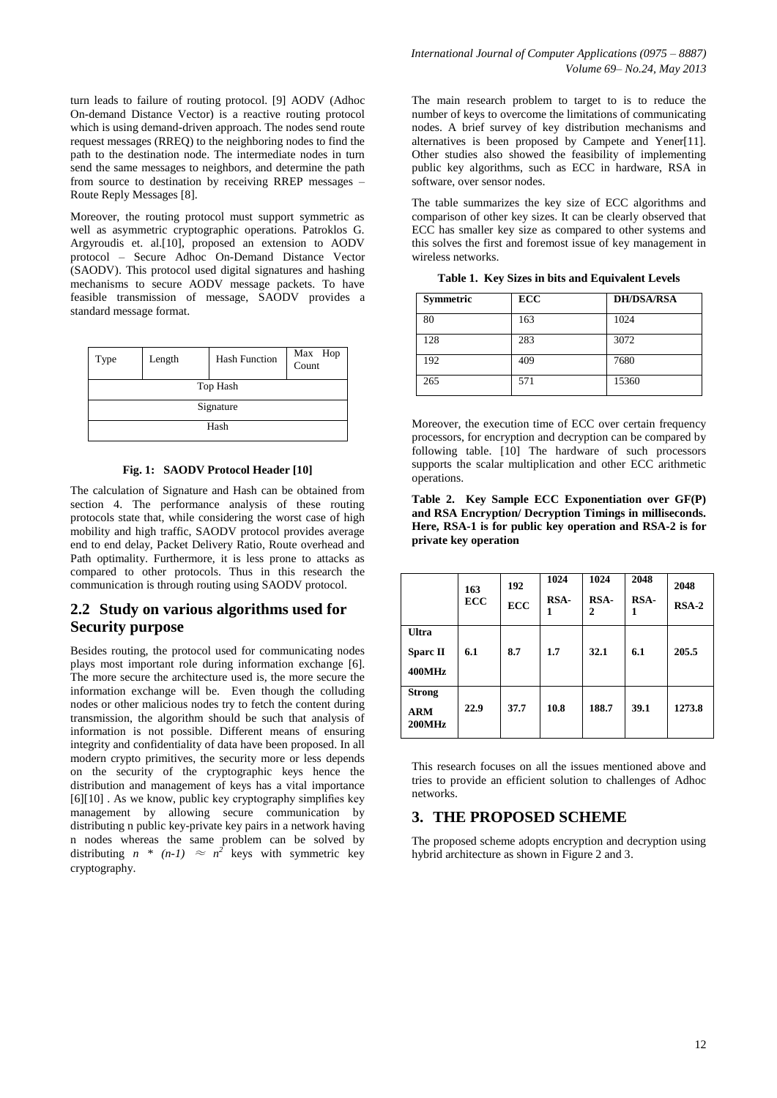turn leads to failure of routing protocol. [9] AODV (Adhoc On-demand Distance Vector) is a reactive routing protocol which is using demand-driven approach. The nodes send route request messages (RREQ) to the neighboring nodes to find the path to the destination node. The intermediate nodes in turn send the same messages to neighbors, and determine the path from source to destination by receiving RREP messages – Route Reply Messages [8].

Moreover, the routing protocol must support symmetric as well as asymmetric cryptographic operations. Patroklos G. Argyroudis et. al.[10], proposed an extension to AODV protocol – Secure Adhoc On-Demand Distance Vector (SAODV). This protocol used digital signatures and hashing mechanisms to secure AODV message packets. To have feasible transmission of message, SAODV provides a standard message format.



**Fig. 1: SAODV Protocol Header [10]**

The calculation of Signature and Hash can be obtained from section 4. The performance analysis of these routing protocols state that, while considering the worst case of high mobility and high traffic, SAODV protocol provides average end to end delay, Packet Delivery Ratio, Route overhead and Path optimality. Furthermore, it is less prone to attacks as compared to other protocols. Thus in this research the communication is through routing using SAODV protocol.

### **2.2 Study on various algorithms used for Security purpose**

Besides routing, the protocol used for communicating nodes plays most important role during information exchange [6]. The more secure the architecture used is, the more secure the information exchange will be. Even though the colluding nodes or other malicious nodes try to fetch the content during transmission, the algorithm should be such that analysis of information is not possible. Different means of ensuring integrity and confidentiality of data have been proposed. In all modern crypto primitives, the security more or less depends on the security of the cryptographic keys hence the distribution and management of keys has a vital importance [6][10] . As we know, public key cryptography simplifies key management by allowing secure communication by distributing n public key-private key pairs in a network having n nodes whereas the same problem can be solved by distributing  $n * (n-1) \approx n^2$  keys with symmetric key cryptography.

The main research problem to target to is to reduce the number of keys to overcome the limitations of communicating nodes. A brief survey of key distribution mechanisms and alternatives is been proposed by Campete and Yener[11]. Other studies also showed the feasibility of implementing public key algorithms, such as ECC in hardware, RSA in software, over sensor nodes.

The table summarizes the key size of ECC algorithms and comparison of other key sizes. It can be clearly observed that ECC has smaller key size as compared to other systems and this solves the first and foremost issue of key management in wireless networks.

| Table 1. Key Sizes in bits and Equivalent Levels |  |  |  |  |  |  |  |  |  |  |  |
|--------------------------------------------------|--|--|--|--|--|--|--|--|--|--|--|
|--------------------------------------------------|--|--|--|--|--|--|--|--|--|--|--|

| <b>Symmetric</b> | <b>ECC</b> | <b>DH/DSA/RSA</b> |
|------------------|------------|-------------------|
| 80               | 163        | 1024              |
| 128              | 283        | 3072              |
| 192              | 409        | 7680              |
| 265              | 571        | 15360             |

Moreover, the execution time of ECC over certain frequency processors, for encryption and decryption can be compared by following table. [10] The hardware of such processors supports the scalar multiplication and other ECC arithmetic operations.

**Table 2. Key Sample ECC Exponentiation over GF(P) and RSA Encryption/ Decryption Timings in milliseconds. Here, RSA-1 is for public key operation and RSA-2 is for private key operation**

|                                       | 163<br>ECC | 192<br><b>ECC</b> | 1024<br>RSA-<br>1 | 1024<br>RSA-<br>2 | 2048<br>RSA-<br>1 | 2048<br>$RSA-2$ |
|---------------------------------------|------------|-------------------|-------------------|-------------------|-------------------|-----------------|
| Ultra<br><b>Sparc II</b><br>400MHz    | 6.1        | 8.7               | 1.7               | 32.1              | 6.1               | 205.5           |
| <b>Strong</b><br><b>ARM</b><br>200MHz | 22.9       | 37.7              | 10.8              | 188.7             | 39.1              | 1273.8          |

This research focuses on all the issues mentioned above and tries to provide an efficient solution to challenges of Adhoc networks.

#### **3. THE PROPOSED SCHEME**

The proposed scheme adopts encryption and decryption using hybrid architecture as shown in Figure 2 and 3.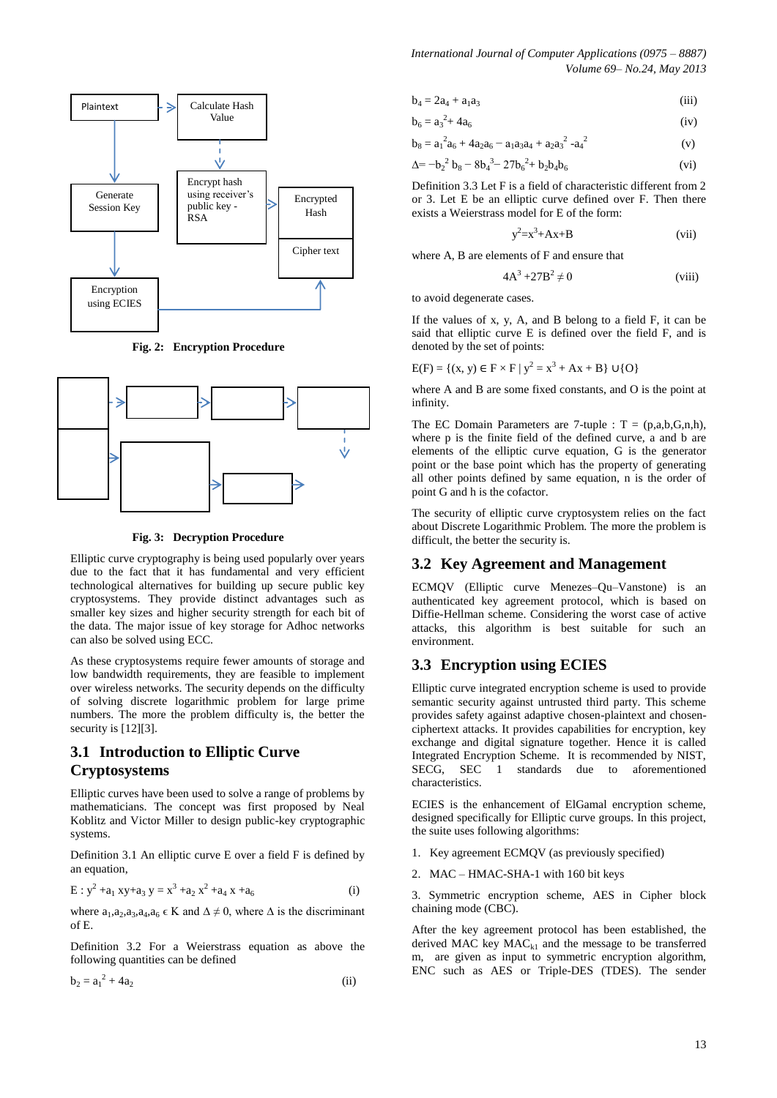

 **Fig. 2: Encryption Procedure**



 **Fig. 3: Decryption Procedure**

Elliptic curve cryptography is being used popularly over years due to the fact that it has fundamental and very efficient technological alternatives for building up secure public key cryptosystems. They provide distinct advantages such as smaller key sizes and higher security strength for each bit of the data. The major issue of key storage for Adhoc networks can also be solved using ECC.

As these cryptosystems require fewer amounts of storage and low bandwidth requirements, they are feasible to implement over wireless networks. The security depends on the difficulty of solving discrete logarithmic problem for large prime numbers. The more the problem difficulty is, the better the security is [12][3].

## **3.1 Introduction to Elliptic Curve Cryptosystems**

Elliptic curves have been used to solve a range of problems by mathematicians. The concept was first proposed by Neal Koblitz and Victor Miller to design public-key cryptographic systems.

Definition 3.1 An elliptic curve E over a field F is defined by an equation,

$$
E: y^{2} + a_{1} xy + a_{3} y = x^{3} + a_{2} x^{2} + a_{4} x + a_{6}
$$
 (i)

where  $a_1, a_2, a_3, a_4, a_6 \in K$  and  $\Delta \neq 0$ , where  $\Delta$  is the discriminant of E.

Definition 3.2 For a Weierstrass equation as above the following quantities can be defined

$$
b_2 = a_1^2 + 4a_2 \tag{ii}
$$

$$
b_4 = 2a_4 + a_1a_3 \tag{iii}
$$

$$
b_6 = a_3^2 + 4a_6 \tag{iv}
$$

$$
b_8 = a_1^2 a_6 + 4a_2 a_6 - a_1 a_3 a_4 + a_2 a_3^2 - a_4^2
$$
 (v)

$$
\Delta = -b_2^2 b_8 - 8b_4^3 - 27b_6^2 + b_2b_4b_6 \tag{vi}
$$

Definition 3.3 Let F is a field of characteristic different from 2 or 3. Let E be an elliptic curve defined over F. Then there exists a Weierstrass model for E of the form:

$$
y^2 = x^3 + Ax + B \tag{vii}
$$

where A, B are elements of F and ensure that

$$
4A^3 + 27B^2 \neq 0
$$
 (viii)

to avoid degenerate cases.

If the values of x, y, A, and B belong to a field F, it can be said that elliptic curve E is defined over the field F, and is denoted by the set of points:

$$
E(F) = \{(x, y) \in F \times F \mid y^2 = x^3 + Ax + B\} \cup \{O\}
$$

where A and B are some fixed constants, and O is the point at infinity.

The EC Domain Parameters are 7-tuple :  $T = (p,a,b,G,n,h)$ , where p is the finite field of the defined curve, a and b are elements of the elliptic curve equation, G is the generator point or the base point which has the property of generating all other points defined by same equation, n is the order of point G and h is the cofactor.

The security of elliptic curve cryptosystem relies on the fact about Discrete Logarithmic Problem. The more the problem is difficult, the better the security is.

#### **3.2 Key Agreement and Management**

ECMQV (Elliptic curve Menezes–Qu–Vanstone) is an authenticated key agreement protocol, which is based on Diffie-Hellman scheme. Considering the worst case of active attacks, this algorithm is best suitable for such an environment.

#### **3.3 Encryption using ECIES**

Elliptic curve integrated encryption scheme is used to provide semantic security against untrusted third party. This scheme provides safety against adaptive chosen-plaintext and chosenciphertext attacks. It provides capabilities for encryption, key exchange and digital signature together. Hence it is called Integrated Encryption Scheme. It is recommended by NIST, SECG, SEC 1 standards due to aforementioned characteristics.

ECIES is the enhancement of ElGamal encryption scheme, designed specifically for Elliptic curve groups. In this project, the suite uses following algorithms:

- 1. Key agreement ECMQV (as previously specified)
- 2. MAC HMAC-SHA-1 with 160 bit keys

3. Symmetric encryption scheme, AES in Cipher block chaining mode (CBC).

After the key agreement protocol has been established, the derived MAC key  $MAC_{k1}$  and the message to be transferred m, are given as input to symmetric encryption algorithm, ENC such as AES or Triple-DES (TDES). The sender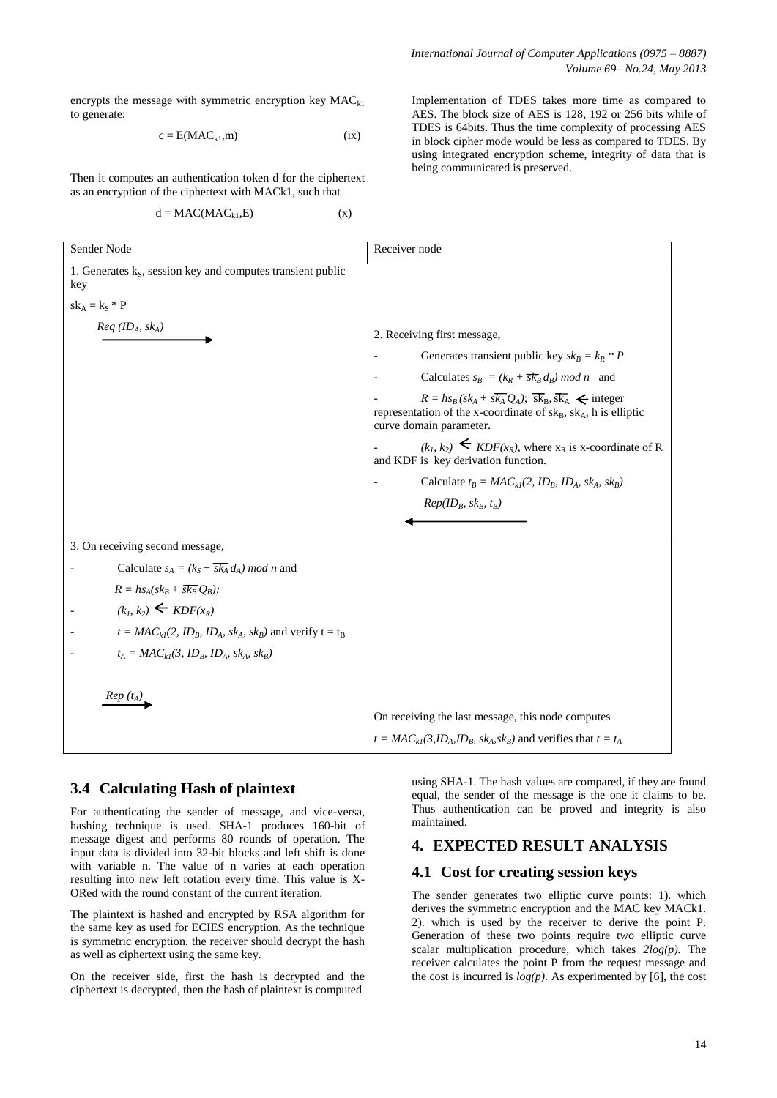encrypts the message with symmetric encryption key  $MAC_{k1}$ to generate:

$$
c = E(MAC_{k1}, m) \tag{ix}
$$

Then it computes an authentication token d for the ciphertext as an encryption of the ciphertext with MACk1, such that

$$
d = MAC(MAC_{k1}, E) \tag{x}
$$

*International Journal of Computer Applications (0975 – 8887) Volume 69– No.24, May 2013*

Implementation of TDES takes more time as compared to AES. The block size of AES is 128, 192 or 256 bits while of TDES is 64bits. Thus the time complexity of processing AES in block cipher mode would be less as compared to TDES. By using integrated encryption scheme, integrity of data that is being communicated is preserved.

| Sender Node                                                                    | Receiver node                                                                                                                                                                          |
|--------------------------------------------------------------------------------|----------------------------------------------------------------------------------------------------------------------------------------------------------------------------------------|
| 1. Generates k <sub>S</sub> , session key and computes transient public<br>key |                                                                                                                                                                                        |
| $sk_A = k_S * P$                                                               |                                                                                                                                                                                        |
| $Req$ (ID <sub>A</sub> , sk <sub>A</sub> )                                     | 2. Receiving first message,<br>Generates transient public key $sk_B = k_R * P$                                                                                                         |
|                                                                                | Calculates $s_B = (k_R + \overline{s k_B} d_B) \mod n$ and                                                                                                                             |
|                                                                                | $R = h s_B (s k_A + s \overline{k_A} Q_A); \overline{s k_B}, \overline{s k_A} \le$ integer<br>representation of the x-coordinate of skB, skA, h is elliptic<br>curve domain parameter. |
|                                                                                | $(k_1, k_2)$ $\leq$ <i>KDF</i> ( $x_R$ ), where $x_R$ is x-coordinate of R<br>and KDF is key derivation function.                                                                      |
|                                                                                | Calculate $t_B = MAC_{kl}(2, ID_B, ID_A, sk_A, sk_B)$                                                                                                                                  |
|                                                                                | $Rep(ID_B, sk_B, t_B)$                                                                                                                                                                 |
|                                                                                |                                                                                                                                                                                        |
| 3. On receiving second message,                                                |                                                                                                                                                                                        |
| Calculate $s_A = (k_S + \overline{sk_A} d_A) \mod n$ and                       |                                                                                                                                                                                        |
| $R = h s_A (s k_B + \overline{s k_B} O_B);$                                    |                                                                                                                                                                                        |
| $(k_1, k_2) \leftarrow KDF(x_R)$                                               |                                                                                                                                                                                        |
| $t = MAC_{kl}(2, ID_B, ID_A, sk_A, sk_B)$ and verify $t = t_B$                 |                                                                                                                                                                                        |
| $t_A = MAC_{kl}(3, ID_B, ID_A, sk_A, sk_B)$                                    |                                                                                                                                                                                        |
| $Rep(t_A)$                                                                     |                                                                                                                                                                                        |
|                                                                                | On receiving the last message, this node computes                                                                                                                                      |
|                                                                                | $t = MAC_{kl}(3, ID_A, ID_B, sk_A, sk_B)$ and verifies that $t = t_A$                                                                                                                  |

#### **3.4 Calculating Hash of plaintext**

For authenticating the sender of message, and vice-versa, hashing technique is used. SHA-1 produces 160-bit of message digest and performs 80 rounds of operation. The input data is divided into 32-bit blocks and left shift is done with variable n. The value of n varies at each operation resulting into new left rotation every time. This value is X-ORed with the round constant of the current iteration.

The plaintext is hashed and encrypted by RSA algorithm for the same key as used for ECIES encryption. As the technique is symmetric encryption, the receiver should decrypt the hash as well as ciphertext using the same key.

On the receiver side, first the hash is decrypted and the ciphertext is decrypted, then the hash of plaintext is computed

using SHA-1. The hash values are compared, if they are found equal, the sender of the message is the one it claims to be. Thus authentication can be proved and integrity is also maintained.

#### **4. EXPECTED RESULT ANALYSIS**

#### **4.1 Cost for creating session keys**

The sender generates two elliptic curve points: 1). which derives the symmetric encryption and the MAC key MACk1. 2). which is used by the receiver to derive the point P. Generation of these two points require two elliptic curve scalar multiplication procedure, which takes *2log(p).* The receiver calculates the point P from the request message and the cost is incurred is  $log(p)$ . As experimented by [6], the cost